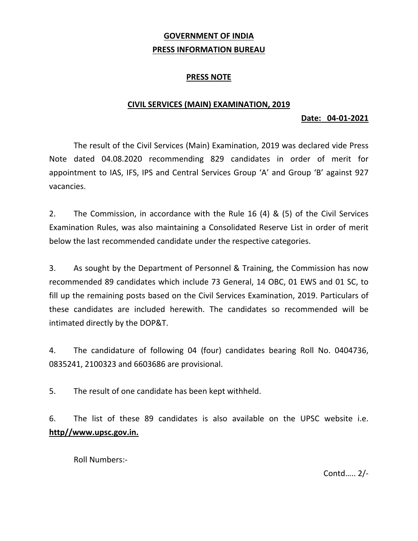## **GOVERNMENT OF INDIA PRESS INFORMATION BUREAU**

## **PRESS NOTE**

### **CIVIL SERVICES (MAIN) EXAMINATION, 2019**

#### **Date: 04‐01‐2021**

 The result of the Civil Services (Main) Examination, 2019 was declared vide Press Note dated 04.08.2020 recommending 829 candidates in order of merit for appointment to IAS, IFS, IPS and Central Services Group 'A' and Group 'B' against 927 vacancies.

2. The Commission, in accordance with the Rule 16 (4) & (5) of the Civil Services Examination Rules, was also maintaining a Consolidated Reserve List in order of merit below the last recommended candidate under the respective categories.

3. As sought by the Department of Personnel & Training, the Commission has now recommended 89 candidates which include 73 General, 14 OBC, 01 EWS and 01 SC, to fill up the remaining posts based on the Civil Services Examination, 2019. Particulars of these candidates are included herewith. The candidates so recommended will be intimated directly by the DOP&T.

4. The candidature of following 04 (four) candidates bearing Roll No. 0404736, 0835241, 2100323 and 6603686 are provisional.

5. The result of one candidate has been kept withheld.

6. The list of these 89 candidates is also available on the UPSC website i.e. **http//www.upsc.gov.in.** 

Roll Numbers:‐

Contd….. 2/‐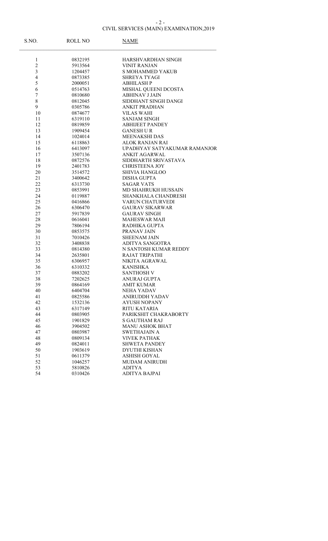# CIVIL SERVICES (MAIN) EXAMINATION,2019

| S.NO.                   | <b>ROLL NO</b> | NAME                         |
|-------------------------|----------------|------------------------------|
| $\mathbf{1}$            | 0832195        | HARSHVARDHAN SINGH           |
| $\overline{c}$          | 5913564        | <b>VINIT RANJAN</b>          |
| $\overline{\mathbf{3}}$ | 1204457        | <b>S MOHAMMED YAKUB</b>      |
| $\overline{4}$          | 0873385        | <b>SHREYA TYAGI</b>          |
| 5                       | 2000051        | <b>ABHILASH P</b>            |
| 6                       | 0514763        | MISHAL QUEENI DCOSTA         |
| $\boldsymbol{7}$        | 0810680        | <b>ABHINAV J JAIN</b>        |
| $\,$ $\,$               | 0812045        | SIDDHANT SINGH DANGI         |
| 9                       | 0305786        | <b>ANKIT PRADHAN</b>         |
| 10                      | 0874677        | <b>VILAS WAHI</b>            |
| 11                      | 6319110        | <b>SANJAM SINGH</b>          |
| 12                      | 0819859        | <b>ABHIJEET PANDEY</b>       |
| 13                      | 1909454        | <b>GANESH U R</b>            |
| 14                      | 1024014        | MEENAKSHI DAS                |
| 15                      | 6118863        | ALOK RANJAN RAI              |
| 16                      | 6413097        | UPADHYAY SATYAKUMAR RAMANJOR |
| 17                      | 3507136        | ANKIT AGARWAL                |
| 18                      | 0872576        | SIDDHARTH SRIVASTAVA         |
| 19                      | 2401783        | <b>CHRISTEENA JOY</b>        |
| 20                      | 3514572        | <b>SHIVIA HANGLOO</b>        |
| 21                      | 3400642        | <b>DISHA GUPTA</b>           |
| 22                      | 6313730        | <b>SAGAR VATS</b>            |
| 23                      | 0853991        | MD SHAHRUKH HUSSAIN          |
| 24                      | 0119887        | SHANKHALA CHANDRESH          |
| 25                      | 0416866        | VARUN CHATURVEDI             |
| 26                      | 6306470        | <b>GAURAV SIKARWAR</b>       |
| 27                      | 5917839        | <b>GAURAV SINGH</b>          |
| 28                      | 0616041        | <b>MAHESWAR MAJI</b>         |
| 29                      | 7806194        | RADHIKA GUPTA                |
| 30                      | 0853575        | PRANAV JAIN                  |
| 31                      | 7010426        | <b>SHEENAM JAIN</b>          |
| 32                      | 3408838        | ADITYA SANGOTRA              |
| 33                      | 0814380        | N SANTOSH KUMAR REDDY        |
| 34                      | 2635801        | <b>RAJAT TRIPATHI</b>        |
| 35                      | 6306957        | NIKITA AGRAWAL               |
| 36                      | 6310332        | <b>KANISHKA</b>              |
| 37                      | 0883202        | <b>SANTHOSH V</b>            |
| 38                      | 7202625        | ANURAJ GUPTA                 |
| 39                      | 0864169        | AMIT KUMAR                   |
| 40                      | 6404704        | NEHA YADAV                   |
| 41                      | 0825586        | ANIRUDDH YADAV               |
| 42                      | 1532136        | <b>AYUSH NOPANY</b>          |
| 43                      | 6317149        | RITU KATARIA                 |
| 44                      | 0803905        | PARIKSHIT CHAKRABORTY        |
| 45                      | 1901829        | <b>S GAUTHAM RAJ</b>         |
| 46                      | 3904502        | <b>MANU ASHOK BHAT</b>       |
| 47                      | 0803987        | SWETHAJAIN A                 |
| 48                      | 0809134        | <b>VIVEK PATHAK</b>          |
| 49                      | 0824011        | <b>SHWETA PANDEY</b>         |
| 50                      | 1903619        | <b>DYUTHI KISHAN</b>         |
| 51                      | 0611379        | <b>ASHISH GOYAL</b>          |
| 52                      | 1046257        | <b>MUDAM ANIRUDH</b>         |
| 53                      | 5810826        | <b>ADITYA</b>                |
| 54                      | 0310426        | ADITYA BAJPAI                |